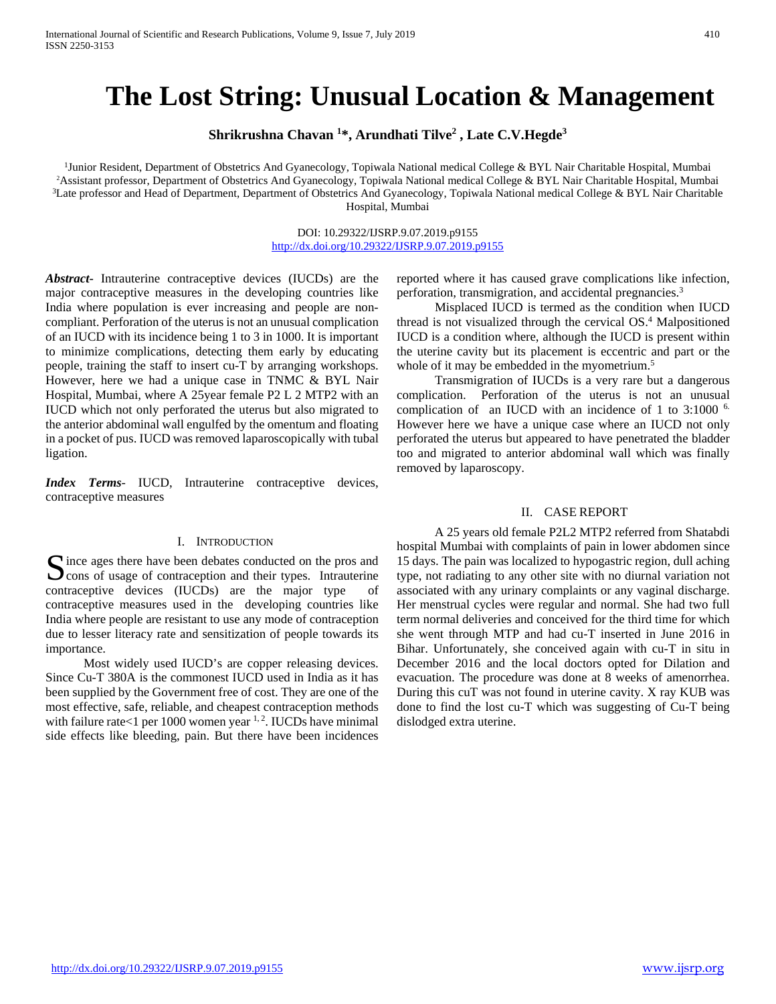# **The Lost String: Unusual Location & Management**

**Shrikrushna Chavan 1 \*, Arundhati Tilve2 , Late C.V.Hegde3**

<sup>1</sup>Junior Resident, Department of Obstetrics And Gyanecology, Topiwala National medical College & BYL Nair Charitable Hospital, Mumbai 2 Assistant professor, Department of Obstetrics And Gyanecology, Topiwala National medical College & BYL Nair Charitable Hospital, Mumbai <sup>3</sup>Late professor and Head of Department, Department of Obstetrics And Gyanecology, Topiwala National medical College & BYL Nair Charitable Hospital, Mumbai

> DOI: 10.29322/IJSRP.9.07.2019.p9155 <http://dx.doi.org/10.29322/IJSRP.9.07.2019.p9155>

*Abstract***-** Intrauterine contraceptive devices (IUCDs) are the major contraceptive measures in the developing countries like India where population is ever increasing and people are noncompliant. Perforation of the uterus is not an unusual complication of an IUCD with its incidence being 1 to 3 in 1000. It is important to minimize complications, detecting them early by educating people, training the staff to insert cu-T by arranging workshops. However, here we had a unique case in TNMC & BYL Nair Hospital, Mumbai, where A 25year female P2 L 2 MTP2 with an IUCD which not only perforated the uterus but also migrated to the anterior abdominal wall engulfed by the omentum and floating in a pocket of pus. IUCD was removed laparoscopically with tubal ligation.

*Index Terms*- IUCD, Intrauterine contraceptive devices, contraceptive measures

# I. INTRODUCTION

 $\Gamma$  ince ages there have been debates conducted on the pros and Since ages there have been debates conducted on the pros and<br>
Scons of usage of contraception and their types. Intrauterine contraceptive devices (IUCDs) are the major type of contraceptive measures used in the developing countries like India where people are resistant to use any mode of contraception due to lesser literacy rate and sensitization of people towards its importance.

 Most widely used IUCD's are copper releasing devices. Since Cu-T 380A is the commonest IUCD used in India as it has been supplied by the Government free of cost. They are one of the most effective, safe, reliable, and cheapest contraception methods with failure rate<1 per  $1000$  women year  $1, 2$ . IUCDs have minimal side effects like bleeding, pain. But there have been incidences

reported where it has caused grave complications like infection, perforation, transmigration, and accidental pregnancies.3

 Misplaced IUCD is termed as the condition when IUCD thread is not visualized through the cervical  $OS<sup>4</sup>$  Malpositioned IUCD is a condition where, although the IUCD is present within the uterine cavity but its placement is eccentric and part or the whole of it may be embedded in the myometrium.<sup>5</sup>

 Transmigration of IUCDs is a very rare but a dangerous complication. Perforation of the uterus is not an unusual complication of an IUCD with an incidence of 1 to 3:1000 <sup>6.</sup> However here we have a unique case where an IUCD not only perforated the uterus but appeared to have penetrated the bladder too and migrated to anterior abdominal wall which was finally removed by laparoscopy.

### II. CASE REPORT

 A 25 years old female P2L2 MTP2 referred from Shatabdi hospital Mumbai with complaints of pain in lower abdomen since 15 days. The pain was localized to hypogastric region, dull aching type, not radiating to any other site with no diurnal variation not associated with any urinary complaints or any vaginal discharge. Her menstrual cycles were regular and normal. She had two full term normal deliveries and conceived for the third time for which she went through MTP and had cu-T inserted in June 2016 in Bihar. Unfortunately, she conceived again with cu-T in situ in December 2016 and the local doctors opted for Dilation and evacuation. The procedure was done at 8 weeks of amenorrhea. During this cuT was not found in uterine cavity. X ray KUB was done to find the lost cu-T which was suggesting of Cu-T being dislodged extra uterine.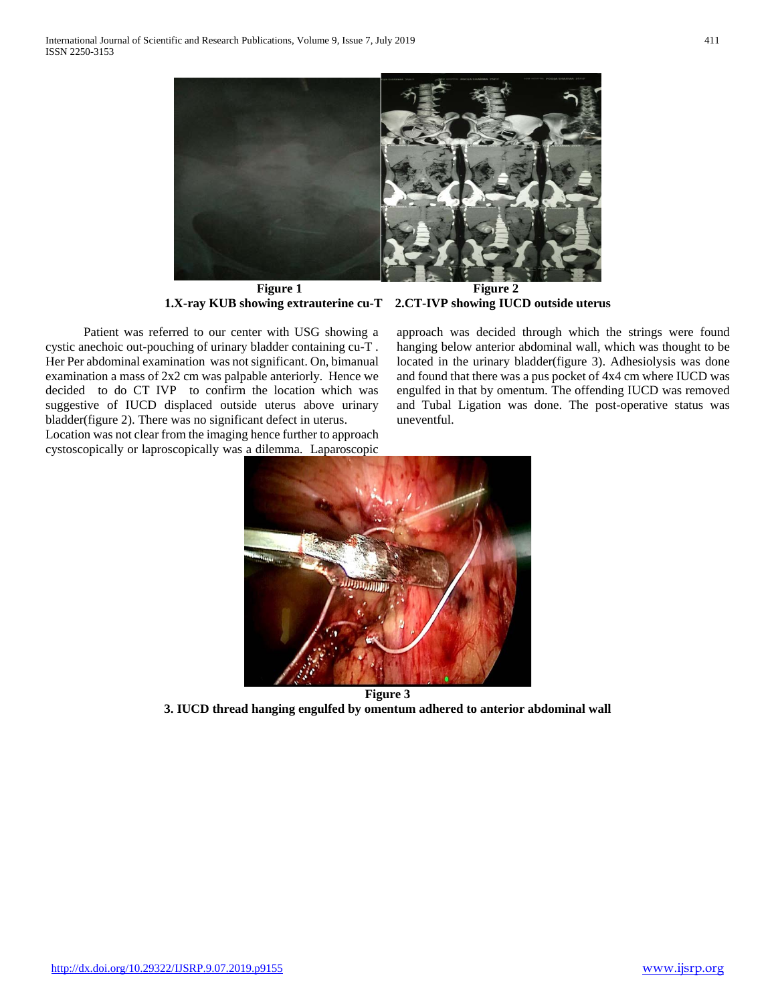

**Figure 1**<br>**Figure 2**<br>**Summer extrauterine cu-T** 2.CT-IVP showing IUCD outside uterus **1.X-ray KUB showing extrauterine cu-T** 

 Patient was referred to our center with USG showing a cystic anechoic out-pouching of urinary bladder containing cu-T . Her Per abdominal examination was not significant. On, bimanual examination a mass of 2x2 cm was palpable anteriorly. Hence we decided to do CT IVP to confirm the location which was suggestive of IUCD displaced outside uterus above urinary bladder(figure 2). There was no significant defect in uterus.

Location was not clear from the imaging hence further to approach cystoscopically or laproscopically was a dilemma. Laparoscopic approach was decided through which the strings were found hanging below anterior abdominal wall, which was thought to be located in the urinary bladder(figure 3). Adhesiolysis was done and found that there was a pus pocket of 4x4 cm where IUCD was engulfed in that by omentum. The offending IUCD was removed and Tubal Ligation was done. The post-operative status was uneventful.



**Figure 3 3. IUCD thread hanging engulfed by omentum adhered to anterior abdominal wall**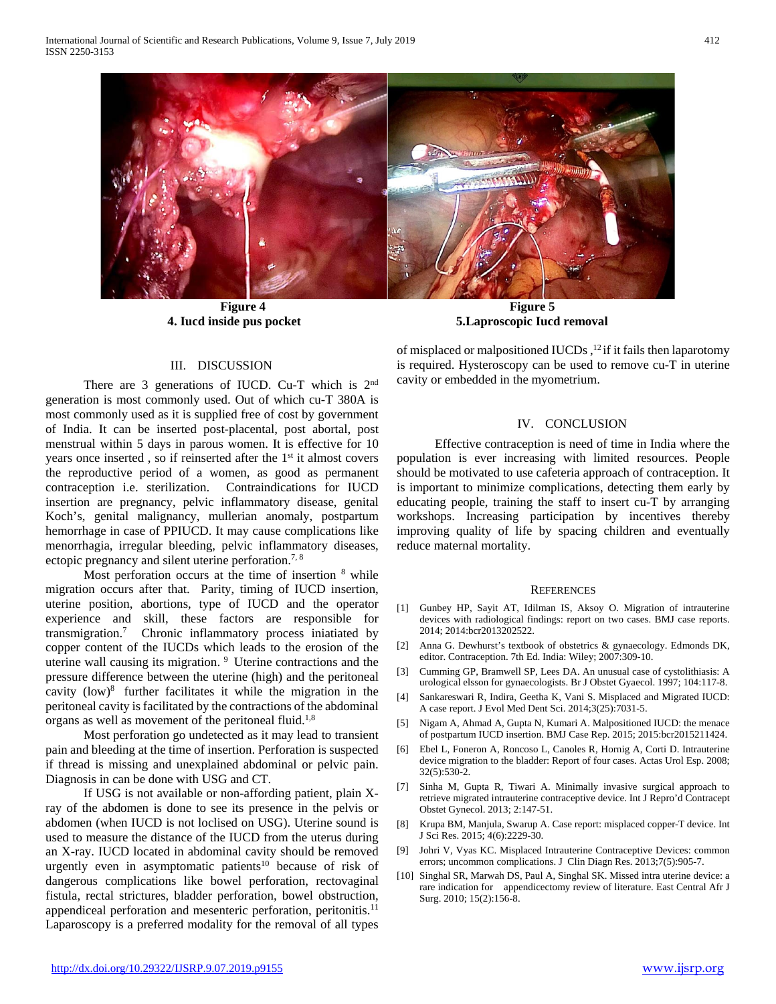

Figure 4 **Figure 5 4. Iucd inside pus pocket 5.Laproscopic Iucd removal**

# III. DISCUSSION

There are 3 generations of IUCD. Cu-T which is 2<sup>nd</sup> generation is most commonly used. Out of which cu-T 380A is most commonly used as it is supplied free of cost by government of India. It can be inserted post-placental, post abortal, post menstrual within 5 days in parous women. It is effective for 10 years once inserted, so if reinserted after the 1<sup>st</sup> it almost covers the reproductive period of a women, as good as permanent contraception i.e. sterilization. Contraindications for IUCD insertion are pregnancy, pelvic inflammatory disease, genital Koch's, genital malignancy, mullerian anomaly, postpartum hemorrhage in case of PPIUCD. It may cause complications like menorrhagia, irregular bleeding, pelvic inflammatory diseases, ectopic pregnancy and silent uterine perforation.<sup>7, 8</sup>

Most perforation occurs at the time of insertion  $8$  while migration occurs after that. Parity, timing of IUCD insertion, uterine position, abortions, type of IUCD and the operator experience and skill, these factors are responsible for transmigration.7 Chronic inflammatory process iniatiated by copper content of the IUCDs which leads to the erosion of the uterine wall causing its migration. 9 Uterine contractions and the pressure difference between the uterine (high) and the peritoneal cavity  $(low)^8$  further facilitates it while the migration in the peritoneal cavity is facilitated by the contractions of the abdominal organs as well as movement of the peritoneal fluid.<sup>1,8</sup>

 Most perforation go undetected as it may lead to transient pain and bleeding at the time of insertion. Perforation is suspected if thread is missing and unexplained abdominal or pelvic pain. Diagnosis in can be done with USG and CT.

 If USG is not available or non-affording patient, plain Xray of the abdomen is done to see its presence in the pelvis or abdomen (when IUCD is not loclised on USG). Uterine sound is used to measure the distance of the IUCD from the uterus during an X-ray. IUCD located in abdominal cavity should be removed urgently even in asymptomatic patients<sup>10</sup> because of risk of dangerous complications like bowel perforation, rectovaginal fistula, rectal strictures, bladder perforation, bowel obstruction, appendiceal perforation and mesenteric perforation, peritonitis.11 Laparoscopy is a preferred modality for the removal of all types of misplaced or malpositioned IUCDs,  $^{12}$  if it fails then laparotomy is required. Hysteroscopy can be used to remove cu-T in uterine cavity or embedded in the myometrium.

## IV. CONCLUSION

 Effective contraception is need of time in India where the population is ever increasing with limited resources. People should be motivated to use cafeteria approach of contraception. It is important to minimize complications, detecting them early by educating people, training the staff to insert cu-T by arranging workshops. Increasing participation by incentives thereby improving quality of life by spacing children and eventually reduce maternal mortality.

#### **REFERENCES**

- [1] Gunbey HP, Sayit AT, Idilman IS, Aksoy O. Migration of intrauterine devices with radiological findings: report on two cases. BMJ case reports. 2014; 2014:bcr2013202522.
- [2] Anna G. Dewhurst's textbook of obstetrics & gynaecology. Edmonds DK, editor. Contraception. 7th Ed. India: Wiley; 2007:309-10.
- [3] Cumming GP, Bramwell SP, Lees DA. An unusual case of cystolithiasis: A urological elsson for gynaecologists. Br J Obstet Gyaecol. 1997; 104:117-8.
- [4] Sankareswari R, Indira, Geetha K, Vani S. Misplaced and Migrated IUCD: A case report. J Evol Med Dent Sci. 2014;3(25):7031-5.
- [5] Nigam A, Ahmad A, Gupta N, Kumari A. Malpositioned IUCD: the menace of postpartum IUCD insertion. BMJ Case Rep. 2015; 2015:bcr2015211424.
- [6] Ebel L, Foneron A, Roncoso L, Canoles R, Hornig A, Corti D. Intrauterine device migration to the bladder: Report of four cases. Actas Urol Esp. 2008; 32(5):530-2.
- [7] Sinha M, Gupta R, Tiwari A. Minimally invasive surgical approach to retrieve migrated intrauterine contraceptive device. Int J Repro'd Contracept Obstet Gynecol. 2013; 2:147-51.
- [8] Krupa BM, Manjula, Swarup A. Case report: misplaced copper-T device. Int J Sci Res. 2015; 4(6):2229-30.
- [9] Johri V, Vyas KC. Misplaced Intrauterine Contraceptive Devices: common errors; uncommon complications. J Clin Diagn Res. 2013;7(5):905-7.
- [10] Singhal SR, Marwah DS, Paul A, Singhal SK. Missed intra uterine device: a rare indication for appendicectomy review of literature. East Central Afr J Surg. 2010; 15(2):156-8.